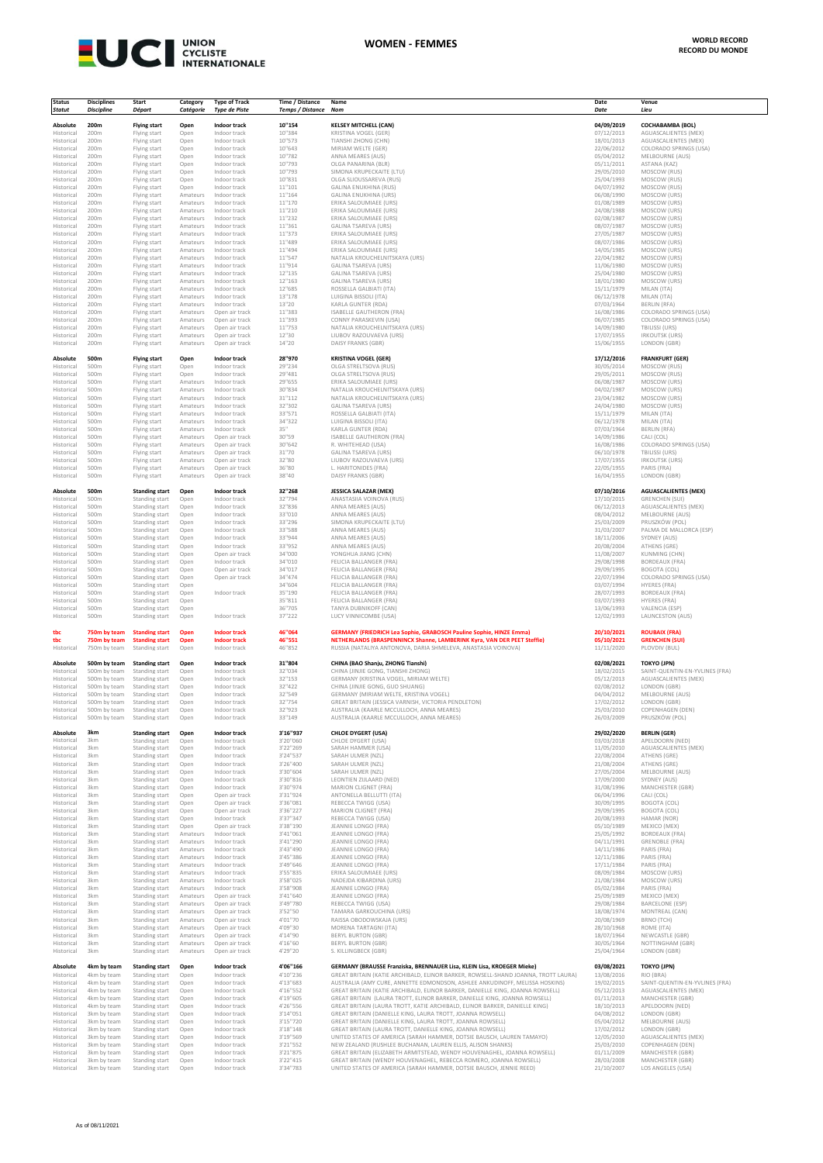

| <b>Status</b>            | <b>Disciplines</b>           | <b>Start</b>                     | Category             | <b>Type of Track</b>             | Time / Distance      | Name                                                                                                                                                             | Date                     | Venue                                                  |
|--------------------------|------------------------------|----------------------------------|----------------------|----------------------------------|----------------------|------------------------------------------------------------------------------------------------------------------------------------------------------------------|--------------------------|--------------------------------------------------------|
| <b>Statut</b>            | <b>Discipline</b>            | Départ                           | Catégorie            | <b>Type de Piste</b>             | Temps / Distance Nom |                                                                                                                                                                  | Date                     | Lieu                                                   |
| Absolute                 | 200m                         | <b>Flying start</b>              | Open                 | Indoor track                     | 10"154               | <b>KELSEY MITCHELL (CAN)</b>                                                                                                                                     | 04/09/2019               | <b>COCHABAMBA (BOL)</b>                                |
| Historical<br>Historical | 200m<br>200m                 | Flying start<br>Flying start     | Open<br>Open         | Indoor track<br>Indoor track     | 10"384<br>10"573     | KRISTINA VOGEL (GER)<br>TIANSHI ZHONG (CHN)                                                                                                                      | 07/12/2013<br>18/01/2013 | AGUASCALIENTES (MEX)<br>AGUASCALIENTES (MEX)           |
| Historical               | 200m                         | Flying start                     | Open                 | Indoor track                     | 10"643               | MIRIAM WELTE (GER)                                                                                                                                               | 22/06/2012               | COLORADO SPRINGS (USA)                                 |
| Historical<br>Historical | 200m<br>200m                 | Flying start<br>Flying start     | Open<br>Open         | Indoor track<br>Indoor track     | 10"782<br>10"793     | ANNA MEARES (AUS)<br>OLGA PANARINA (BLR)                                                                                                                         | 05/04/2012<br>05/11/2011 | MELBOURNE (AUS)<br>ASTANA (KAZ)                        |
| Historical               | 200m                         | Flying start                     | Open                 | Indoor track                     | 10"793               | SIMONA KRUPECKAITE (LTU)                                                                                                                                         | 29/05/2010               | MOSCOW (RUS)                                           |
| Historical<br>Historical | 200m<br>200m                 | Flying start<br>Flying start     | Open<br>Open         | Indoor track<br>Indoor track     | 10"831<br>11"101     | OLGA SLIOUSSAREVA (RUS)<br>GALINA ENUKHINA (RUS)                                                                                                                 | 25/04/1993<br>04/07/1992 | MOSCOW (RUS)<br>MOSCOW (RUS)                           |
| Historical               | 200m                         | Flying start                     | Amateurs             | Indoor track                     | 11"164               | <b>GALINA ENUKHINA (URS)</b>                                                                                                                                     | 06/08/1990               | MOSCOW (URS)                                           |
| Historical<br>Historical | 200m<br>200m                 | Flying start<br>Flying start     | Amateurs<br>Amateurs | Indoor track<br>Indoor track     | 11"170<br>11"210     | ERIKA SALOUMIAEE (URS)<br>ERIKA SALOUMIAEE (URS)                                                                                                                 | 01/08/1989<br>24/08/1988 | MOSCOW (URS)<br>MOSCOW (URS)                           |
| Historical               | 200m                         | Flying start                     | Amateurs             | Indoor track                     | 11"232               | ERIKA SALOUMIAEE (URS)                                                                                                                                           | 02/08/1987               | MOSCOW (URS)                                           |
| Historical<br>Historical | 200m<br>200m                 | Flying start<br>Flying start     | Amateurs<br>Amateurs | Indoor track<br>Indoor track     | 11"361<br>11"373     | <b>GALINA TSAREVA (URS)</b><br>ERIKA SALOUMIAEE (URS)                                                                                                            | 08/07/1987<br>27/05/1987 | MOSCOW (URS)<br>MOSCOW (URS)                           |
| Historical               | 200m                         | Flying start                     | Amateurs             | Indoor track                     | 11"489               | ERIKA SALOUMIAEE (URS)                                                                                                                                           | 08/07/1986               | MOSCOW (URS)                                           |
| Historical               | 200m                         | Flying start                     | Amateurs             | Indoor track                     | 11"494               | ERIKA SALOUMIAEE (URS)                                                                                                                                           | 14/05/1985               | MOSCOW (URS)                                           |
| Historical<br>Historical | 200m<br>200m                 | Flying start<br>Flying start     | Amateurs<br>Amateurs | Indoor track<br>Indoor track     | 11"547<br>11"914     | NATALIA KROUCHELNITSKAYA (URS)<br><b>GALINA TSAREVA (URS)</b>                                                                                                    | 22/04/1982<br>11/06/1980 | MOSCOW (URS)<br>MOSCOW (URS)                           |
| Historical               | 200m                         | Flying start                     | Amateurs             | Indoor track                     | 12"135               | GALINA TSAREVA (URS)                                                                                                                                             | 25/04/1980               | MOSCOW (URS)                                           |
| Historical<br>Historical | 200m<br>200m                 | Flying start<br>Flying start     | Amateurs<br>Amateurs | Indoor track<br>Indoor track     | 12"163<br>12"685     | GALINA TSAREVA (URS)<br>ROSSELLA GALBIATI (ITA)                                                                                                                  | 18/01/1980<br>15/11/1979 | MOSCOW (URS)<br>MILAN (ITA)                            |
| Historical               | 200m                         | Flying start                     | Amateurs             | Indoor track                     | 13"178               | LUIGINA BISSOLI (ITA)                                                                                                                                            | 06/12/1978               | MILAN (ITA)                                            |
| Historical<br>Historical | 200m<br>200m                 | Flying start<br>Flying start     | Amateurs<br>Amateurs | Indoor track<br>Open air track   | 13"20<br>11"383      | KARLA GUNTER (RDA)<br>ISABELLE GAUTHERON (FRA)                                                                                                                   | 07/03/1964<br>16/08/1986 | BERLIN (RFA)<br>COLORADO SPRINGS (USA)                 |
| Historical               | 200m                         | Flying start                     | Amateurs             | Open air track                   | 11"393               | CONNY PARASKEVIN (USA)                                                                                                                                           | 06/07/1985               | COLORADO SPRINGS (USA)                                 |
| Historical<br>Historical | 200m<br>200m                 | Flying start<br>Flying start     | Amateurs<br>Amateurs | Open air track<br>Open air track | 11"753<br>12"30      | NATALIA KROUCHELNITSKAYA (URS)<br>LIUBOV RAZOUVAEVA (URS)                                                                                                        | 14/09/1980<br>17/07/1955 | <b>TBILISSI (URS)</b><br><b>IRKOUTSK (URS)</b>         |
| Historical               | 200m                         | Flying start                     | Amateurs             | Open air track                   | 14"20                | DAISY FRANKS (GBR)                                                                                                                                               | 15/06/1955               | LONDON (GBR)                                           |
| Absolute                 | 500m                         | <b>Flying start</b>              | Open                 | Indoor track                     | 28"970               | <b>KRISTINA VOGEL (GER)</b>                                                                                                                                      | 17/12/2016               | <b>FRANKFURT (GER)</b>                                 |
| Historical               | 500m                         | Flying start                     | Open                 | Indoor track                     | 29"234               | OLGA STRELTSOVA (RUS)                                                                                                                                            | 30/05/2014               | MOSCOW (RUS)                                           |
| Historical<br>Historical | 500m<br>500m                 | Flying start<br>Flying start     | Open<br>Amateurs     | Indoor track<br>Indoor track     | 29"481<br>29"655     | OLGA STRELTSOVA (RUS)<br>ERIKA SALOUMIAEE (URS)                                                                                                                  | 29/05/2011<br>06/08/1987 | MOSCOW (RUS)<br>MOSCOW (URS)                           |
| Historical               | 500m                         | Flying start                     | Amateurs             | Indoor track                     | 30"834               | NATALIA KROUCHELNITSKAYA (URS                                                                                                                                    | 04/02/1987               | MOSCOW (URS)                                           |
| Historical<br>Historical | 500m<br>500m                 | Flying start<br>Flying start     | Amateurs<br>Amateurs | Indoor track<br>Indoor track     | 31"112<br>32"302     | NATALIA KROUCHELNITSKAYA (URS)<br>GALINA TSAREVA (URS)                                                                                                           | 23/04/1982<br>24/04/1980 | MOSCOW (URS)<br>MOSCOW (URS)                           |
| Historical               | 500m                         | Flying start                     | Amateurs             | Indoor track                     | 33"571               | ROSSELLA GALBIATI (ITA)                                                                                                                                          | 15/11/1979               | MILAN (ITA)                                            |
| Historical<br>Historical | 500m<br>500m                 | Flying start<br>Flying start     | Amateurs<br>Amateurs | Indoor track<br>Indoor track     | 34"322<br>35"        | LUIGINA BISSOLI (ITA)<br>KARLA GUNTER (RDA)                                                                                                                      | 06/12/1978<br>07/03/1964 | MILAN (ITA)<br>BERLIN (RFA)                            |
| Historical               | 500m                         | Flying start                     | Amateurs             | Open air track                   | 30"59                | ISABELLE GAUTHERON (FRA)                                                                                                                                         | 14/09/1986               | CALI (COL)                                             |
| Historical               | 500m                         | Flying start                     | Amateurs             | Open air track                   | 30"642               | R. WHITEHEAD (USA)                                                                                                                                               | 16/08/1986               | COLORADO SPRINGS (USA)                                 |
| Historical<br>Historical | 500m<br>500m                 | Flying start<br>Flying start     | Amateurs<br>Amateurs | Open air track<br>Open air track | 31"70<br>32"80       | <b>GALINA TSAREVA (URS)</b><br>LIUBOV RAZOUVAEVA (URS)                                                                                                           | 06/10/1978<br>17/07/1955 | <b>TBILISSI (URS)</b><br><b>IRKOUTSK (URS)</b>         |
| Historical               | 500m                         | Flying start                     | Amateurs             | Open air track                   | 36"80                | L. HARITONIDES (FRA)                                                                                                                                             | 22/05/1955               | PARIS (FRA)                                            |
| Historical               | 500m                         | Flying start                     | Amateurs             | Open air track                   | 38"40                | DAISY FRANKS (GBR)                                                                                                                                               | 16/04/1955               | LONDON (GBR)                                           |
| Absolute                 | 500m                         | <b>Standing start</b>            | Open                 | Indoor track                     | 32"268               | JESSICA SALAZAR (MEX)                                                                                                                                            | 07/10/2016               | <b>AGUASCALIENTES (MEX)</b>                            |
| Historical<br>Historical | 500m<br>500m                 | Standing start<br>Standing start | Open<br>Open         | Indoor track<br>Indoor track     | 32"794<br>32"836     | ANASTASIIA VOINOVA (RUS)<br>ANNA MEARES (AUS)                                                                                                                    | 17/10/2015<br>06/12/2013 | <b>GRENCHEN (SUI)</b><br>AGUASCALIENTES (MEX)          |
| Historical               | 500m                         | Standing start                   | Open                 | Indoor track                     | 33"010               | ANNA MEARES (AUS)                                                                                                                                                | 08/04/2012               | MELBOURNE (AUS)                                        |
| Historical<br>Historical | 500m<br>500m                 | Standing start<br>Standing start | Open<br>Open         | Indoor track<br>Indoor track     | 33"296<br>33"588     | SIMONA KRUPECKAITE (LTU)<br>ANNA MEARES (AUS)                                                                                                                    | 25/03/2009<br>31/03/2007 | PRUSZKÓW (POL)<br>PALMA DE MALLORCA (ESP)              |
| Historical               | 500m                         | Standing start                   | Open                 | Indoor track                     | 33"944               | ANNA MEARES (AUS)                                                                                                                                                | 18/11/2006               | SYDNEY (AUS)                                           |
| Historical<br>Historical | 500m<br>500m                 | Standing start                   | Open<br>Open         | Indoor track<br>Open air track   | 33"952<br>34"000     | ANNA MEARES (AUS)<br>YONGHUA JIANG (CHN)                                                                                                                         | 20/08/2004<br>11/08/2007 | ATHENS (GRE)<br>KUNMING (CHN)                          |
| Historical               | 500m                         | Standing start<br>Standing start | Open                 | Indoor track                     | 34"010               | FELICIA BALLANGER (FRA)                                                                                                                                          | 29/08/1998               | <b>BORDEAUX (FRA)</b>                                  |
| Historical               | 500m                         | Standing start                   | Open                 | Open air track                   | 34"017               | FELICIA BALLANGER (FRA)                                                                                                                                          | 29/09/1995               | BOGOTA (COL)                                           |
| Historical<br>Historical | 500m<br>500m                 | Standing start<br>Standing start | Open<br>Open         | Open air track                   | 34"474<br>34"604     | FELICIA BALLANGER (FRA)<br>FELICIA BALLANGER (FRA)                                                                                                               | 22/07/1994<br>03/07/1994 | COLORADO SPRINGS (USA)<br><b>HYERES (FRA)</b>          |
| Historical               | 500m                         | Standing start                   | Open                 | Indoor track                     | 35"190               | FELICIA BALLANGER (FRA)                                                                                                                                          | 28/07/1993               | <b>BORDEAUX (FRA)</b>                                  |
| Historical<br>Historical | 500m<br>500m                 | Standing start<br>Standing start | Open<br>Open         |                                  | 35"811<br>36"705     | FELICIA BALLANGER (FRA)<br>TANYA DUBNIKOFF (CAN)                                                                                                                 | 03/07/1993<br>13/06/1993 | HYERES (FRA)<br>VALENCIA (ESP)                         |
| Historical               | 500m                         | Standing start                   | Open                 | Indoor track                     | 37"222               | LUCY VINNICOMBE (USA)                                                                                                                                            | 12/02/1993               | LAUNCESTON (AUS)                                       |
| tbc                      | 750m by team                 | <b>Standing start</b>            | Open                 | <b>Indoor track</b>              | 46"064               | <b>GERMANY (FRIEDRICH Lea Sophie. GRABOSCH Pauline Sophie. HINZE Emma)</b>                                                                                       | 20/10/2021               | <b>ROUBAIX (FRA)</b>                                   |
| tbc                      | 750m by team                 | <b>Standing start</b>            | Open                 | Indoor track                     | 46"551               | NETHERLANDS (BRASPENNINCX Shanne, LAMBERINK Kyra, VAN DER PEET Steffie)                                                                                          | 05/10/2021               | <b>GRENCHEN (SUI)</b>                                  |
| Historical               | 750m by team                 | Standing start                   | Open                 | Indoor track                     | 46"852               | RUSSIA (NATALIYA ANTONOVA, DARIA SHMELEVA, ANASTASIA VOINOVA)                                                                                                    | 11/11/2020               | PLOVDIV (BUL)                                          |
| Absolute                 | 500m by team                 | <b>Standing start</b>            | Open                 | Indoor track                     | 31"804               | CHINA (BAO Shanju, ZHONG Tianshi)                                                                                                                                | 02/08/2021               | <b>TOKYO (JPN)</b>                                     |
| Historical<br>Historical | 500m by team<br>500m by team | Standing start<br>Standing start | Open<br>Open         | Indoor track<br>Indoor track     | 32"034<br>32"153     | CHINA (JINJIE GONG, TIANSHI ZHONG)<br>GERMANY (KRISTINA VOGEL, MIRIAM WELTE)                                                                                     | 18/02/2015<br>05/12/2013 | SAINT-QUENTIN-EN-YVLINES (FRA)<br>AGUASCALIENTES (MEX) |
| Historical               | 500m by team                 | Standing start                   | Open                 | Indoor track                     | 32"422               | CHINA (JINJIE GONG, GUO SHUANG)                                                                                                                                  | 02/08/2012               | <b>LONDON (GBR)</b>                                    |
| Historical<br>Historical | 500m by team<br>500m by team | Standing start<br>Standing start | Open<br>Open         | Indoor track<br>Indoor track     | 32"549<br>32"754     | GERMANY (MIRIAM WELTE, KRISTINA VOGEL)<br>GREAT BRITAIN (JESSICA VARNISH, VICTORIA PENDLETON)                                                                    | 04/04/2012<br>17/02/2012 | MELBOURNE (AUS)<br>LONDON (GBR)                        |
| Historical               | 500m by team                 | Standing start                   | Open                 | Indoor track                     | 32"923               | AUSTRALIA (KAARLE MCCULLOCH, ANNA MEARES)                                                                                                                        | 25/03/2010               | COPENHAGEN (DEN)                                       |
| Historical               | 500m by team                 | Standing start                   | Open                 | Indoor track                     | 33"149               | AUSTRALIA (KAARLE MCCULLOCH, ANNA MEARES)                                                                                                                        | 26/03/2009               | PRUSZKÓW (POL)                                         |
| Absolute                 | 3km                          | <b>Standing start</b>            | Open                 | Indoor track                     | 3'16"937             | <b>CHLOE DYGERT (USA)</b>                                                                                                                                        | 29/02/2020               | <b>BERLIN (GER)</b>                                    |
| Historical<br>Historical | 3km<br>3km                   | Standing start<br>Standing start | Open<br>Open         | Indoor track<br>Indoor track     | 3'20"060<br>3'22"269 | CHLOE DYGERT (USA)<br>SARAH HAMMER (USA)                                                                                                                         | 03/03/2018<br>11/05/2010 | APELDOORN (NED)<br>AGUASCALIENTES (MEX)                |
| Historical               | 3km                          | Standing start                   | Open                 | Indoor track                     | 3'24"537             | SARAH ULMER (NZL)                                                                                                                                                | 22/08/2004               | ATHENS (GRE)                                           |
| Historical<br>Historical | 3km<br>3km                   | Standing start<br>Standing start | Open<br>Open         | Indoor track<br>Indoor track     | 3'26"400<br>3'30"604 | SARAH ULMER (NZL)<br>SARAH ULMER (NZL)                                                                                                                           | 21/08/2004<br>27/05/2004 | ATHENS (GRE)<br>MELBOURNE (AUS)                        |
| Historical               | 3km                          | Standing start                   | Open                 | Indoor track                     | 3'30"816             | LEONTIEN ZIJLAARD (NED)                                                                                                                                          | 17/09/2000               | SYDNEY (AUS)                                           |
| Historical<br>Historical | 3km<br>3km                   | Standing start<br>Standing start | Open<br>Open         | Indoor track<br>Open air track   | 3'30"974<br>3'31"924 | MARION CLIGNET (FRA)<br>ANTONELLA BELLUTTI (ITA)                                                                                                                 | 31/08/1996<br>06/04/1996 | MANCHESTER (GBR)<br>CALI (COL)                         |
| Historical               | 3km                          | Standing start                   | Open                 | Open air track                   | 3'36"081             | REBECCA TWIGG (USA)                                                                                                                                              | 30/09/1995               | BOGOTA (COL)                                           |
| Historical<br>Historical | 3km<br>3km                   | Standing start<br>Standing start | Open<br>Open         | Open air track<br>Indoor track   | 3'36"227<br>3'37"347 | MARION CLIGNET (FRA)<br>REBECCA TWIGG (USA)                                                                                                                      | 29/09/1995<br>20/08/1993 | BOGOTA (COL)<br>HAMAR (NOR)                            |
| Historical               | 3km                          | Standing start                   | Open                 | Open air track                   | 3'38"190             | JEANNIE LONGO (FRA)                                                                                                                                              | 05/10/1989               | MEXICO (MEX)                                           |
| Historical<br>Historical | 3km<br>3km                   | Standing start<br>Standing start | Amateurs<br>Amateurs | Indoor track<br>Indoor track     | 3'41"061<br>3'41"290 | JEANNIE LONGO (FRA)<br>JEANNIE LONGO (FRA)                                                                                                                       | 25/05/1992<br>04/11/1991 | <b>BORDEAUX (FRA)</b><br><b>GRENOBLE (FRA)</b>         |
| Historical               | 3km                          | Standing start                   | Amateurs             | Indoor track                     | 3'43"490             | JEANNIE LONGO (FRA)                                                                                                                                              | 14/11/1986               | PARIS (FRA)                                            |
| Historical<br>Historical | 3km<br>3km                   | Standing start<br>Standing start | Amateurs<br>Amateurs | Indoor track<br>Indoor track     | 3'45"386<br>3'49"646 | JEANNIE LONGO (FRA)<br>JEANNIE LONGO (FRA)                                                                                                                       | 12/11/1986<br>17/11/1984 | PARIS (FRA)<br>PARIS (FRA)                             |
| Historical               | 3km                          | Standing start                   | Amateurs             | Indoor track                     | 3'55"835             | FRIKA SALOUMIAFF (URS)                                                                                                                                           | 08/09/1984               | MOSCOW (URS)                                           |
| Historical<br>Historical | 3km<br>3km                   | Standing start<br>Standing start | Amateurs<br>Amateurs | Indoor track<br>Indoor track     | 3'58"025<br>3'58"908 | NADEJDA KIBARDINA (URS)<br>JEANNIE LONGO (FRA)                                                                                                                   | 21/08/1984<br>05/02/1984 | MOSCOW (URS)<br>PARIS (FRA)                            |
| Historical               | 3km                          | Standing start                   | Amateurs             | Open air track                   | 3'41"640             | JEANNIE LONGO (FRA)                                                                                                                                              | 25/09/1989               | MEXICO (MEX)                                           |
| Historical               | 3km                          | Standing start                   | Amateurs             | Open air track                   | 3'49"780             | REBECCA TWIGG (USA)                                                                                                                                              | 29/08/1984               | <b>BARCELONE (ESP)</b>                                 |
| Historical<br>Historical | 3km<br>3km                   | Standing start<br>Standing start | Amateurs<br>Amateurs | Open air track<br>Open air track | 3'52"50<br>4'01"70   | TAMARA GARKOUCHINA (URS)<br>RAISSA OBODOWSKAJA (URS)                                                                                                             | 18/08/1974<br>20/08/1969 | MONTREAL (CAN)<br><b>BRNO (TCH)</b>                    |
| Historical               | 3km                          | Standing start                   | Amateurs             | Open air track                   | 4'09"30              | MORENA TARTAGNI (ITA)                                                                                                                                            | 28/10/1968               | ROME (ITA)                                             |
| Historical<br>Historical | 3km<br>3km                   | Standing start<br>Standing start | Amateurs<br>Amateurs | Open air track<br>Open air track | 4'14"90<br>4'16"60   | <b>BERYL BURTON (GBR)</b><br><b>BERYL BURTON (GBR)</b>                                                                                                           | 18/07/1964<br>30/05/1964 | NEWCASTLE (GBR)<br>NOTTINGHAM (GBR)                    |
| Historical               | 3km                          | Standing start                   | Amateurs             | Open air track                   | 4'29"20              | S. KILLINGBECK (GBR)                                                                                                                                             | 25/04/1964               | LONDON (GBR)                                           |
| Absolute                 | 4km by team                  | <b>Standing start</b>            | Open                 | Indoor track                     | 4'06"166             | GERMANY (BRAUSSE Franziska, BRENNAUER Lisa, KLEIN Lisa, KROEGER Mieke)                                                                                           | 03/08/2021               | <b>TOKYO (JPN)</b>                                     |
| Historical<br>Historical | 4km by team<br>4km by team   | Standing start<br>Standing start | Open<br>Open         | Indoor track<br>Indoor track     | 4'10"236<br>4'13"683 | GREAT BRITAIN (KATIE ARCHIBALD, ELINOR BARKER, ROWSELL-SHAND JOANNA, TROTT LAURA)<br>AUSTRALIA (AMY CURE, ANNETTE EDMONDSON, ASHLEE ANKUDINOFF, MELISSA HOSKINS) | 13/08/2016<br>19/02/2015 | RIO (BRA)<br>SAINT-QUENTIN-EN-YVLINES (FRA)            |
| Historical               | 4km by team                  | Standing start                   | Open                 | Indoor track                     | 4'16"552             | GREAT BRITAIN (KATIE ARCHIBALD, ELINOR BARKER, DANIELLE KING, JOANNA ROWSELL)                                                                                    | 05/12/2013               | AGUASCALIENTES (MEX)                                   |
| Historical               | 4km by team                  | Standing start                   | Open                 | Indoor track                     | 4'19"605             | GREAT BRITAIN (LAURA TROTT, ELINOR BARKER, DANIELLE KING, JOANNA ROWSELL)                                                                                        | 01/11/2013               | MANCHESTER (GBR)                                       |
| Historical<br>Historical | 4km by team<br>3km by team   | Standing start<br>Standing start | Open<br>Open         | Indoor track<br>Indoor track     | 4'26"556<br>3'14"051 | GREAT BRITAIN (LAURA TROTT, KATIE ARCHIBALD, ELINOR BARKER, DANIELLE KING)<br>GREAT BRITAIN (DANIELLE KING, LAURA TROTT, JOANNA ROWSELL)                         | 18/10/2013<br>04/08/2012 | APELDOORN (NED)<br>LONDON (GBR)                        |
| Historical               | 3km by team                  | Standing start                   | Open                 | Indoor track                     | 3'15"720             | GREAT BRITAIN (DANIELLE KING, LAURA TROTT, JOANNA ROWSELL)                                                                                                       | 05/04/2012               | MELBOURNE (AUS)                                        |
| Historical<br>Historical | 3km by team<br>3km by team   | Standing start<br>Standing start | Open<br>Open         | Indoor track<br>Indoor track     | 3'18"148<br>3'19"569 | GREAT BRITAIN (LAURA TROTT, DANIELLE KING, JOANNA ROWSELL)<br>UNITED STATES OF AMERICA (SARAH HAMMER, DOTSIE BAUSCH, LAUREN TAMAYO)                              | 17/02/2012<br>12/05/2010 | LONDON (GBR)<br>AGUASCALIENTES (MEX)                   |
| Historical               | 3km by team                  | Standing start                   | Open                 | Indoor track                     | 3'21"552             | NEW ZEALAND (RUSHLEE BUCHANAN, LAUREN ELLIS, ALISON SHANKS)                                                                                                      | 25/03/2010               | COPENHAGEN (DEN)                                       |
| Historical<br>Historical | 3km by team<br>3km by team   | Standing start<br>Standing start | Open<br>Open         | Indoor track<br>Indoor track     | 3'21"875<br>3'22"415 | GREAT BRITAIN (ELIZABETH ARMITSTEAD, WENDY HOUVENAGHEL, JOANNA ROWSELL)<br>GREAT BRITAIN (WENDY HOUVENAGHEL, REBECCA ROMERO, JOANNA ROWSELL)                     | 01/11/2009<br>28/03/2008 | MANCHESTER (GBR)<br>MANCHESTER (GBR)                   |
| Historical               | 3km by team                  | Standing start                   | Open                 | Indoor track                     | 3'34"783             | UNITED STATES OF AMERICA (SARAH HAMMER, DOTSIE BAUSCH, JENNIE REED)                                                                                              | 21/10/2007               | LOS ANGELES (USA)                                      |